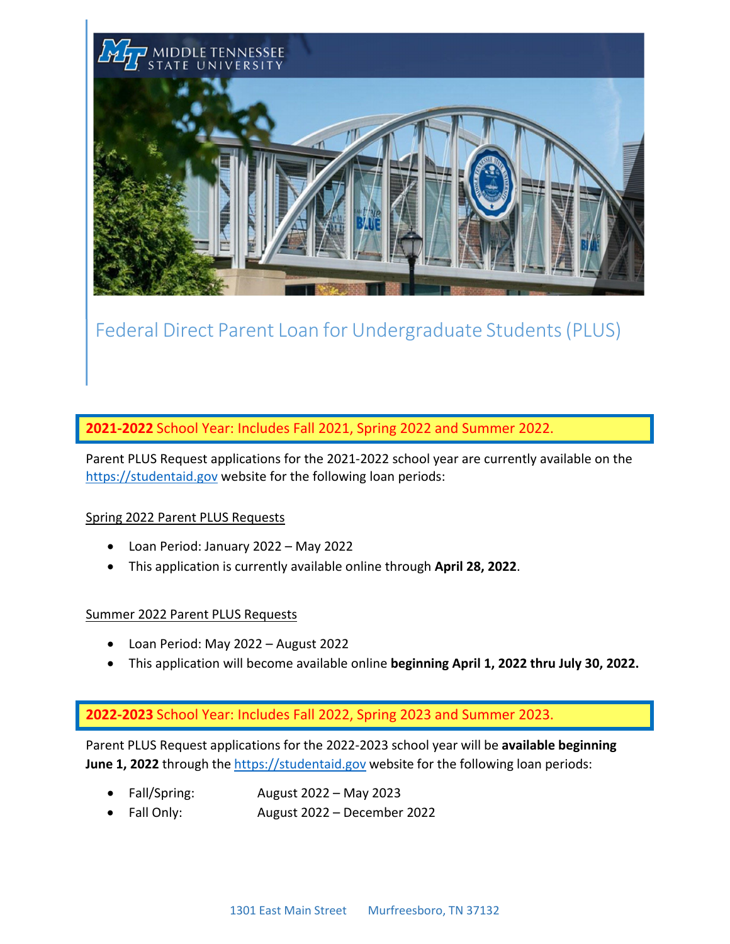

# Federal Direct Parent Loan for Undergraduate Students(PLUS)

**2021‐2022** School Year: Includes Fall 2021, Spring 2022 and Summer 2022.

Parent PLUS Request applications for the 2021-2022 school year are currently available on the [https://studentaid.gov](https://studentaid.gov/) website for the following loan periods:

# Spring 2022 Parent PLUS Requests

- Loan Period: January 2022 May 2022
- This application is currently available online through **April 28, 2022**.

## Summer 2022 Parent PLUS Requests

- Loan Period: May 2022 August 2022
- This application will become available online **beginning April 1, 2022 thru July 30, 2022.**

# **2022‐2023** School Year: Includes Fall 2022, Spring 2023 and Summer 2023.

Parent PLUS Request applications for the 2022-2023 school year will be **available beginning June 1, 2022** through th[e https://studentaid.gov](https://studentaid.gov/) website for the following loan periods:

- Fall/Spring: August 2022 May 2023
- Fall Only: August 2022 December 2022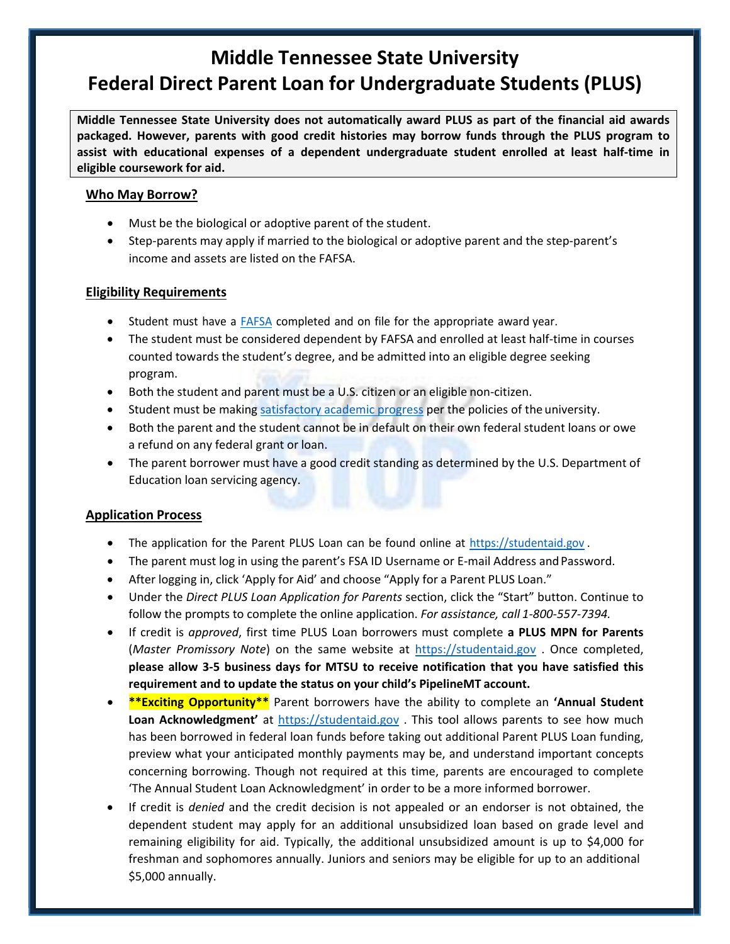# **Middle Tennessee State University Federal Direct Parent Loan for Undergraduate Students (PLUS)**

**Middle Tennessee State University does not automatically award PLUS as part of the financial aid awards packaged. However, parents with good credit histories may borrow funds through the PLUS program to assist with educational expenses of a dependent undergraduate student enrolled at least half-time in eligible coursework for aid.**

# **Who May Borrow?**

- Must be the biological or adoptive parent of the student.
- Step-parents may apply if married to the biological or adoptive parent and the step-parent's income and assets are listed on the FAFSA.

## **Eligibility Requirements**

- Student must have a [FAFSA](https://studentaid.gov/h/apply-for-aid/fafsa) completed and on file for the appropriate award year.
- The student must be considered dependent by FAFSA and enrolled at least half-time in courses counted towards the student's degree, and be admitted into an eligible degree seeking program.
- Both the student and parent must be a U.S. citizen or an eligible non-citizen.
- Student must be making [satisfactory](https://mtsu.edu/policies/student-affairs/502.php) academic progress per the policies of the university.
- Both the parent and the student cannot be in default on their own federal student loans or owe a refund on any federal grant or loan.
- The parent borrower must have a good credit standing as determined by the U.S. Department of Education loan servicing agency.

# **Application Process**

- The application for the Parent PLUS Loan can be found online at https://studentaid.gov.
- The parent must log in using the parent's FSA ID Username or E-mail Address and Password.
- After logging in, click 'Apply for Aid' and choose "Apply for a Parent PLUS Loan."
- Under the *Direct PLUS Loan Application for Parents* section, click the "Start" button. Continue to follow the prompts to complete the online application. *For assistance, call 1‐800‐557‐7394.*
- If credit is *approved*, first time PLUS Loan borrowers must complete **a PLUS MPN for Parents** (*Master Promissory Note*) on the same website at https://studentaid.gov . Once completed, **please allow 3‐5 business days for MTSU to receive notification that you have satisfied this requirement and to update the status on your child's PipelineMT account.**
- **\*\*Exciting Opportunity\*\*** Parent borrowers have the ability to complete an **'Annual Student Loan Acknowledgment'** at [https://studentaid.gov](https://studentaid.gov/) . This tool allows parents to see how much has been borrowed in federal loan funds before taking out additional Parent PLUS Loan funding, preview what your anticipated monthly payments may be, and understand important concepts concerning borrowing. Though not required at this time, parents are encouraged to complete 'The Annual Student Loan Acknowledgment' in order to be a more informed borrower.
- If credit is *denied* and the credit decision is not appealed or an endorser is not obtained, the dependent student may apply for an additional unsubsidized loan based on grade level and remaining eligibility for aid. Typically, the additional unsubsidized amount is up to \$4,000 for freshman and sophomores annually. Juniors and seniors may be eligible for up to an additional \$5,000 annually.